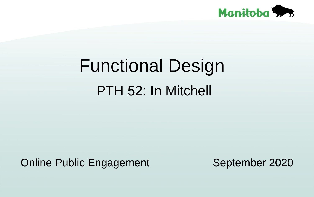# Functional Design PTH 52: In Mitchell



### Online Public Engagement September 2020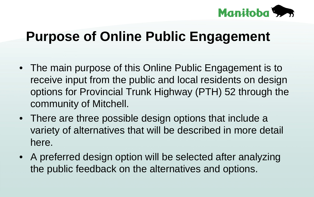# **Purpose of Online Public Engagement**

• The main purpose of this Online Public Engagement is to receive input from the public and local residents on design options for Provincial Trunk Highway (PTH) 52 through the community of Mitchell. • There are three possible design options that include a variety of alternatives that will be described in more detail here. • A preferred design option will be selected after analyzing the public feedback on the alternatives and options.

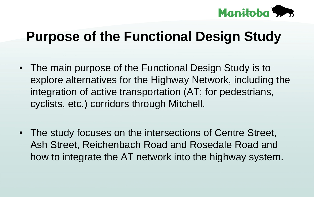## **Purpose of the Functional Design Study**

• The main purpose of the Functional Design Study is to explore alternatives for the Highway Network, including the integration of active transportation (AT; for pedestrians, cyclists, etc.) corridors through Mitchell.

• The study focuses on the intersections of Centre Street, Ash Street, Reichenbach Road and Rosedale Road and how to integrate the AT network into the highway system.

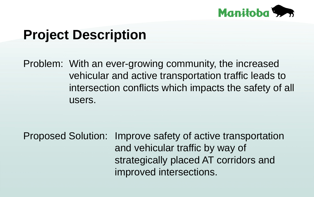## **Project Description**

### Problem: With an ever-growing community, the increased vehicular and active transportation traffic leads to intersection conflicts which impacts the safety of all

users.

Proposed Solution: Improve safety of active transportation and vehicular traffic by way of strategically placed AT corridors and improved intersections.

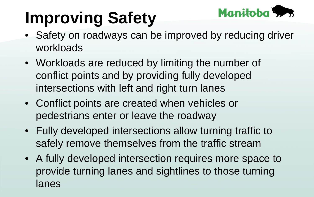# **Improving Safety** • Safety on roadways can be improved by reducing driver

workloads lanes

- Workloads are reduced by limiting the number of conflict points and by providing fully developed intersections with left and right turn lanes
- Conflict points are created when vehicles or pedestrians enter or leave the roadway
	-
- Fully developed intersections allow turning traffic to
- safely remove themselves from the traffic stream
- A fully developed intersection requires more space to
	- provide turning lanes and sightlines to those turning

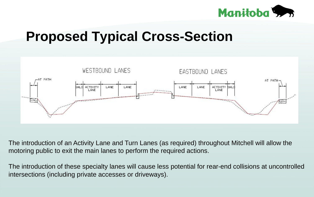## **Proposed Typical Cross-Section**



### The introduction of an Activity Lane and Turn Lanes (as required) throughout Mitchell will allow the motoring public to exit the main lanes to perform the required actions.

The introduction of these specialty lanes will cause less potential for rear-end collisions at uncontrolled intersections (including private accesses or driveways).

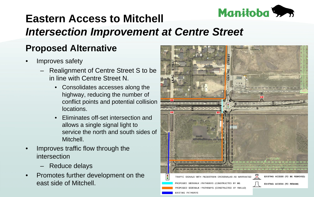### **Eastern Access to Mitchell** *Intersection Improvement at Centre Street* **Proposed Alternative**

- Improves safety
	- Realignment of Centre Street S to be in line with Centre Street N.
		- Consolidates accesses along the highway, reducing the number of conflict points and potential collision locations.
		- Eliminates off-set intersection and allows a single signal light to service the north and south sides of Mitchell.
- Improves traffic flow through the intersection – Reduce delays
	- Promotes further development on the east side of Mitchell.





EXISTING PATHWAYS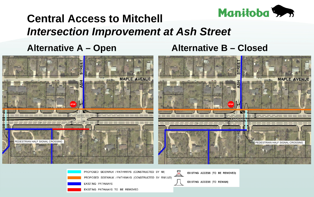### **Central Access to Mitchell** *Intersection Improvement at Ash Street* **Alternative A – Open Alternative B – Closed**

![](_page_7_Picture_1.jpeg)

![](_page_7_Picture_2.jpeg)

PROPOSED SIDEWALK / PATHWAYS (CONSTRUCTED BY MI) PROPOSED SIDEWALK / PATHWAYS (CONSTRUCTED BY RM/LUD) EXISTING PATHWAYS EXISTING PATHWAYS TO BE REMOVED

![](_page_7_Picture_4.jpeg)

![](_page_7_Picture_5.jpeg)

![](_page_7_Picture_6.jpeg)

EXISTING ACCESS (TO BE REMOVED)

EXISTING ACCESS (TO REMAIN)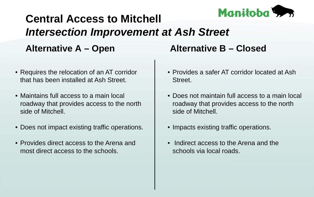### **Central Access to Mitchell** *Intersection Improvement at Ash Street* **Alternative A – Open Alternative B – Closed**

- Requires the relocation of an AT corridor that has been installed at Ash Street.
- Maintains full access to a main local roadway that provides access to the north side of Mitchell.
- Does not impact existing traffic operations.
- Provides direct access to the Arena and most direct access to the schools.

![](_page_8_Picture_9.jpeg)

- Provides a safer AT corridor located at Ash Street.
- Does not maintain full access to a main local roadway that provides access to the north side of Mitchell.
- Impacts existing traffic operations.
- Indirect access to the Arena and the schools via local roads.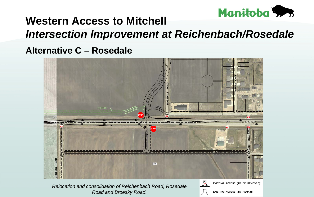### **Western Access to Mitchell** *Intersection Improvement at Reichenbach/Rosedale* **Alternative C – Rosedale**

![](_page_9_Picture_1.jpeg)

![](_page_9_Picture_2.jpeg)

*Relocation and consolidation of Reichenbach Road, Rosedale Road and Broesky Road.* 

![](_page_9_Picture_4.jpeg)

![](_page_9_Picture_5.jpeg)

![](_page_9_Picture_6.jpeg)

EXISTING ACCESS (TO BE REMOVED)

EXISTING ACCESS (TO REMAIN)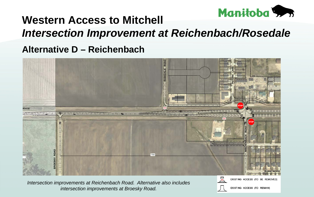### **Western Access to Mitchell** *Intersection Improvement at Reichenbach/Rosedale* **Alternative D – Reichenbach**

![](_page_10_Picture_1.jpeg)

*Intersection improvements at Reichenbach Road. Alternative also includes intersection improvements at Broesky Road.* 

![](_page_10_Picture_3.jpeg)

![](_page_10_Picture_4.jpeg)

EXISTING ACCESS (TO REMAIN)

EXISTING ACCESS (TO BE REMOVED)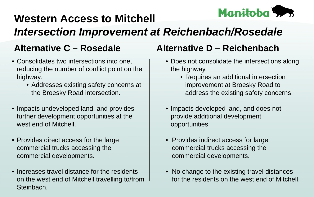### **Western Access to Mitchell** *Intersection Improvement at Reichenbach/Rosedale*

- Consolidates two intersections into one, reducing the number of conflict point on the highway.
	- the Broesky Road intersection.
- Impacts undeveloped land, and provides further development opportunities at the west end of Mitchell.
- Provides direct access for the large commercial trucks accessing the commercial developments.
- Increases travel distance for the residents on the west end of Mitchell travelling to/from Steinbach.

### **Alternative C – Rosedale Alternative D – Reichenbach**

• Addresses existing safety concerns at

![](_page_11_Picture_12.jpeg)

- Does not consolidate the intersections along the highway.
	- Requires an additional intersection improvement at Broesky Road to address the existing safety concerns.
- Impacts developed land, and does not provide additional development opportunities.
- Provides indirect access for large commercial trucks accessing the commercial developments.
- No change to the existing travel distances for the residents on the west end of Mitchell.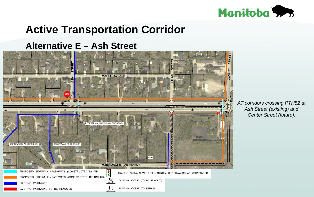# **Active Transportation Corridor**

# **Alternative E – Ash Street**

*AT corridors crossing PTH52 at Ash Street (existing) and Center Street (future).*

![](_page_12_Picture_2.jpeg)

![](_page_12_Picture_3.jpeg)

![](_page_12_Picture_4.jpeg)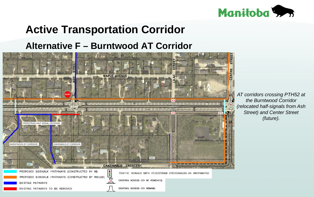### **Active Transportation Corridor Alternative F – Burntwood AT Corridor**

*AT corridors crossing PTH52 at the Burntwood Corridor (relocated half-signals from Ash Street) and Center Street (future).*

![](_page_13_Picture_1.jpeg)

PROPOSED SIDEWALK / PATHWAYS (CONSTRUCTED BY RM/LUD) EXISTING PATHWAYS EXISTING PATHWAYS TO BE REMOVED

![](_page_13_Picture_4.jpeg)

EXISTING ACCESS (TO BE REMOVED)

EXISTING ACCESS (TO REMAIN)

![](_page_13_Picture_8.jpeg)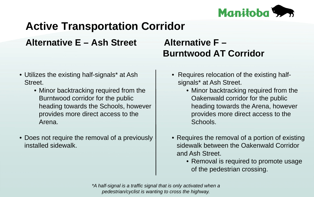### **Active Transportation Corridor Alternative E – Ash Street Alternative F – Burntwood AT Corridor**

• Utilizes the existing half-signals\* at Ash Street.

• Does not require the removal of a previously installed sidewalk.

• Requires relocation of the existing halfsignals\* at Ash Street. • Minor backtracking required from the Oakenwald corridor for the public heading towards the Arena, however provides more direct access to the Schools.

• Minor backtracking required from the Burntwood corridor for the public heading towards the Schools, however provides more direct access to the

Arena.

• Requires the removal of a portion of existing sidewalk between the Oakenwald Corridor and Ash Street.

> • Removal is required to promote usage of the pedestrian crossing.

*\*A half-signal is a traffic signal that is only activated when a pedestrian/cyclist is wanting to cross the highway.*

![](_page_14_Picture_6.jpeg)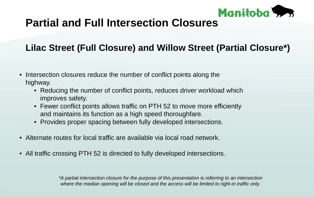### **Partial and Full Intersection Closures**

### **Lilac Street (Full Closure) and Willow Street (Partial Closure\*)**

- Intersection closures reduce the number of conflict points along the highway.
	- Reducing the number of conflict points, reduces driver workload which improves safety.
	- Fewer conflict points allows traffic on PTH 52 to move more efficiently
	- and maintains its function as a high speed thoroughfare.
	- Provides proper spacing between fully developed intersections.
- Alternate routes for local traffic are available via local road network.
- All traffic crossing PTH 52 is directed to fully developed intersections.

*\*A partial intersection closure for the purpose of this presentation is referring to an intersection where the median opening will be closed and the access will be limited to right-in traffic only.*

![](_page_15_Picture_10.jpeg)

![](_page_15_Picture_17.jpeg)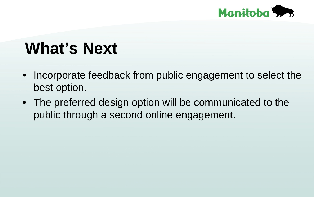# • Incorporate feedback from public engagement to select the • The preferred design option will be communicated to the

# What's Next best option. public through a second online engagement.

- 
- 

![](_page_16_Picture_3.jpeg)